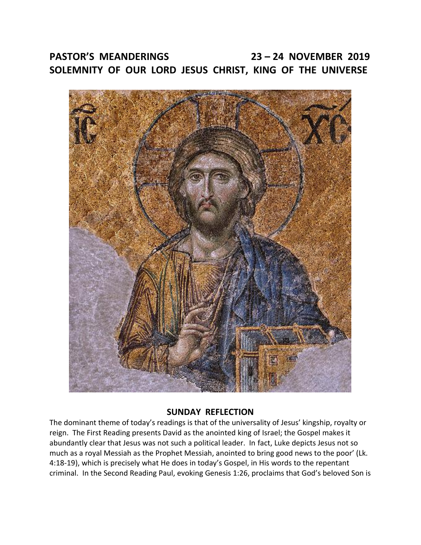# **PASTOR'S MEANDERINGS 23 – 24 NOVEMBER 2019 SOLEMNITY OF OUR LORD JESUS CHRIST, KING OF THE UNIVERSE**



### **SUNDAY REFLECTION**

The dominant theme of today's readings is that of the universality of Jesus' kingship, royalty or reign. The First Reading presents David as the anointed king of Israel; the Gospel makes it abundantly clear that Jesus was not such a political leader. In fact, Luke depicts Jesus not so much as a royal Messiah as the Prophet Messiah, anointed to bring good news to the poor' (Lk. 4:18-19), which is precisely what He does in today's Gospel, in His words to the repentant criminal. In the Second Reading Paul, evoking Genesis 1:26, proclaims that God's beloved Son is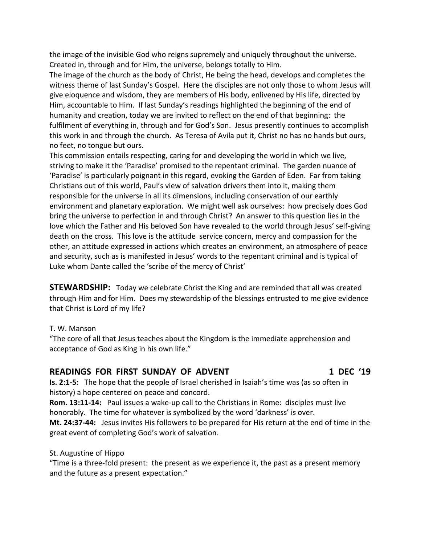the image of the invisible God who reigns supremely and uniquely throughout the universe. Created in, through and for Him, the universe, belongs totally to Him.

The image of the church as the body of Christ, He being the head, develops and completes the witness theme of last Sunday's Gospel. Here the disciples are not only those to whom Jesus will give eloquence and wisdom, they are members of His body, enlivened by His life, directed by Him, accountable to Him. If last Sunday's readings highlighted the beginning of the end of humanity and creation, today we are invited to reflect on the end of that beginning: the fulfilment of everything in, through and for God's Son. Jesus presently continues to accomplish this work in and through the church. As Teresa of Avila put it, Christ no has no hands but ours, no feet, no tongue but ours.

This commission entails respecting, caring for and developing the world in which we live, striving to make it the 'Paradise' promised to the repentant criminal. The garden nuance of 'Paradise' is particularly poignant in this regard, evoking the Garden of Eden. Far from taking Christians out of this world, Paul's view of salvation drivers them into it, making them responsible for the universe in all its dimensions, including conservation of our earthly environment and planetary exploration. We might well ask ourselves: how precisely does God bring the universe to perfection in and through Christ? An answer to this question lies in the love which the Father and His beloved Son have revealed to the world through Jesus' self-giving death on the cross. This love is the attitude service concern, mercy and compassion for the other, an attitude expressed in actions which creates an environment, an atmosphere of peace and security, such as is manifested in Jesus' words to the repentant criminal and is typical of Luke whom Dante called the 'scribe of the mercy of Christ'

**STEWARDSHIP:** Today we celebrate Christ the King and are reminded that all was created through Him and for Him. Does my stewardship of the blessings entrusted to me give evidence that Christ is Lord of my life?

#### T. W. Manson

"The core of all that Jesus teaches about the Kingdom is the immediate apprehension and acceptance of God as King in his own life."

### READINGS FOR FIRST SUNDAY OF ADVENT **1 DEC '19**

**Is. 2:1-5:** The hope that the people of Israel cherished in Isaiah's time was (as so often in history) a hope centered on peace and concord.

**Rom. 13:11-14:** Paul issues a wake-up call to the Christians in Rome: disciples must live honorably. The time for whatever is symbolized by the word 'darkness' is over. **Mt. 24:37-44:** Jesus invites His followers to be prepared for His return at the end of time in the

great event of completing God's work of salvation.

#### St. Augustine of Hippo

"Time is a three-fold present: the present as we experience it, the past as a present memory and the future as a present expectation."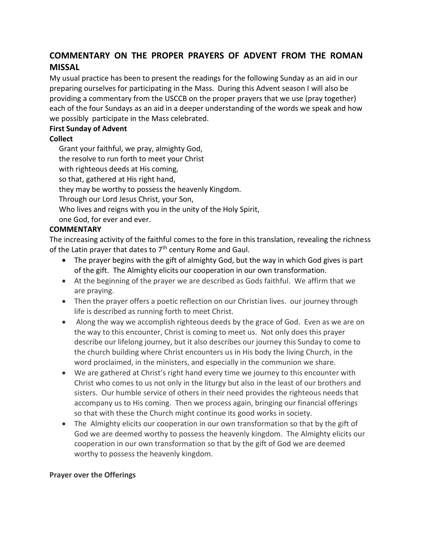# **COMMENTARY ON THE PROPER PRAYERS OF ADVENT FROM THE ROMAN MISSAL**

My usual practice has been to present the readings for the following Sunday as an aid in our preparing ourselves for participating in the Mass. During this Advent season I will also be providing a commentary from the USCCB on the proper prayers that we use (pray together) each of the four Sundays as an aid in a deeper understanding of the words we speak and how we possibly participate in the Mass celebrated.

#### **First Sunday of Advent**

#### **Collect**

 Grant your faithful, we pray, almighty God, the resolve to run forth to meet your Christ with righteous deeds at His coming, so that, gathered at His right hand, they may be worthy to possess the heavenly Kingdom. Through our Lord Jesus Christ, your Son, Who lives and reigns with you in the unity of the Holy Spirit, one God, for ever and ever.

#### **COMMENTARY**

The increasing activity of the faithful comes to the fore in this translation, revealing the richness of the Latin prayer that dates to  $7<sup>th</sup>$  century Rome and Gaul.

- The prayer begins with the gift of almighty God, but the way in which God gives is part of the gift. The Almighty elicits our cooperation in our own transformation.
- At the beginning of the prayer we are described as Gods faithful. We affirm that we are praying.
- Then the prayer offers a poetic reflection on our Christian lives. our journey through life is described as running forth to meet Christ.
- Along the way we accomplish righteous deeds by the grace of God. Even as we are on the way to this encounter, Christ is coming to meet us. Not only does this prayer describe our lifelong journey, but it also describes our journey this Sunday to come to the church building where Christ encounters us in His body the living Church, in the word proclaimed, in the ministers, and especially in the communion we share.
- We are gathered at Christ's right hand every time we journey to this encounter with Christ who comes to us not only in the liturgy but also in the least of our brothers and sisters. Our humble service of others in their need provides the righteous needs that accompany us to His coming. Then we process again, bringing our financial offerings so that with these the Church might continue its good works in society.
- The Almighty elicits our cooperation in our own transformation so that by the gift of God we are deemed worthy to possess the heavenly kingdom. The Almighty elicits our cooperation in our own transformation so that by the gift of God we are deemed worthy to possess the heavenly kingdom.

#### **Prayer over the Offerings**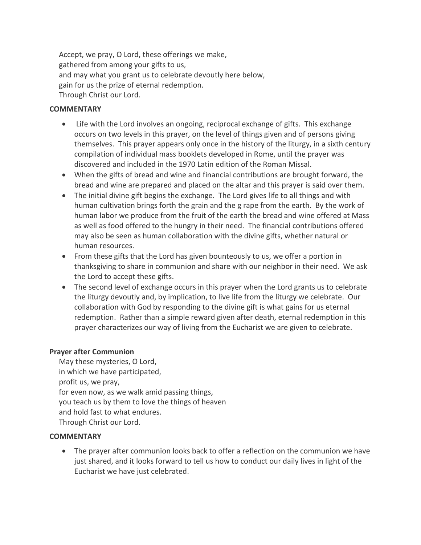Accept, we pray, O Lord, these offerings we make, gathered from among your gifts to us, and may what you grant us to celebrate devoutly here below, gain for us the prize of eternal redemption. Through Christ our Lord.

#### **COMMENTARY**

- Life with the Lord involves an ongoing, reciprocal exchange of gifts. This exchange occurs on two levels in this prayer, on the level of things given and of persons giving themselves. This prayer appears only once in the history of the liturgy, in a sixth century compilation of individual mass booklets developed in Rome, until the prayer was discovered and included in the 1970 Latin edition of the Roman Missal.
- When the gifts of bread and wine and financial contributions are brought forward, the bread and wine are prepared and placed on the altar and this prayer is said over them.
- The initial divine gift begins the exchange. The Lord gives life to all things and with human cultivation brings forth the grain and the g rape from the earth. By the work of human labor we produce from the fruit of the earth the bread and wine offered at Mass as well as food offered to the hungry in their need. The financial contributions offered may also be seen as human collaboration with the divine gifts, whether natural or human resources.
- From these gifts that the Lord has given bounteously to us, we offer a portion in thanksgiving to share in communion and share with our neighbor in their need. We ask the Lord to accept these gifts.
- The second level of exchange occurs in this prayer when the Lord grants us to celebrate the liturgy devoutly and, by implication, to live life from the liturgy we celebrate. Our collaboration with God by responding to the divine gift is what gains for us eternal redemption. Rather than a simple reward given after death, eternal redemption in this prayer characterizes our way of living from the Eucharist we are given to celebrate.

#### **Prayer after Communion**

 May these mysteries, O Lord, in which we have participated, profit us, we pray, for even now, as we walk amid passing things, you teach us by them to love the things of heaven and hold fast to what endures. Through Christ our Lord.

#### **COMMENTARY**

 The prayer after communion looks back to offer a reflection on the communion we have just shared, and it looks forward to tell us how to conduct our daily lives in light of the Eucharist we have just celebrated.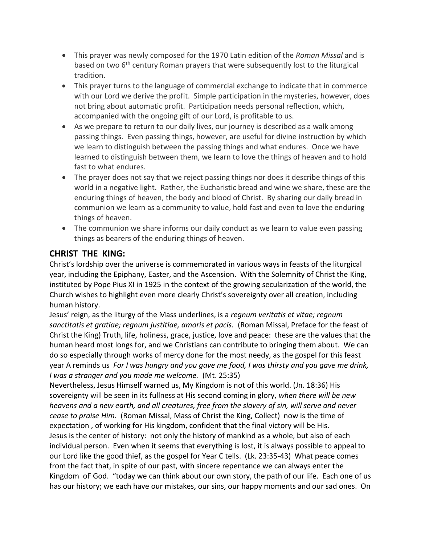- This prayer was newly composed for the 1970 Latin edition of the *Roman Missal* and is based on two 6<sup>th</sup> century Roman prayers that were subsequently lost to the liturgical tradition.
- This prayer turns to the language of commercial exchange to indicate that in commerce with our Lord we derive the profit. Simple participation in the mysteries, however, does not bring about automatic profit. Participation needs personal reflection, which, accompanied with the ongoing gift of our Lord, is profitable to us.
- As we prepare to return to our daily lives, our journey is described as a walk among passing things. Even passing things, however, are useful for divine instruction by which we learn to distinguish between the passing things and what endures. Once we have learned to distinguish between them, we learn to love the things of heaven and to hold fast to what endures.
- The prayer does not say that we reject passing things nor does it describe things of this world in a negative light. Rather, the Eucharistic bread and wine we share, these are the enduring things of heaven, the body and blood of Christ. By sharing our daily bread in communion we learn as a community to value, hold fast and even to love the enduring things of heaven.
- The communion we share informs our daily conduct as we learn to value even passing things as bearers of the enduring things of heaven.

## **CHRIST THE KING:**

Christ's lordship over the universe is commemorated in various ways in feasts of the liturgical year, including the Epiphany, Easter, and the Ascension. With the Solemnity of Christ the King, instituted by Pope Pius XI in 1925 in the context of the growing secularization of the world, the Church wishes to highlight even more clearly Christ's sovereignty over all creation, including human history.

Jesus' reign, as the liturgy of the Mass underlines, is a *regnum veritatis et vitae; regnum sanctitatis et gratiae; regnum justitiae, amoris et pacis.* (Roman Missal, Preface for the feast of Christ the King) Truth, life, holiness, grace, justice, love and peace: these are the values that the human heard most longs for, and we Christians can contribute to bringing them about. We can do so especially through works of mercy done for the most needy, as the gospel for this feast year A reminds us *For I was hungry and you gave me food, I was thirsty and you gave me drink, I was a stranger and you made me welcome.* (Mt. 25:35)

Nevertheless, Jesus Himself warned us, My Kingdom is not of this world. (Jn. 18:36) His sovereignty will be seen in its fullness at His second coming in glory, *when there will be new heavens and a new earth, and all creatures, free from the slavery of sin, will serve and never cease to praise Him.* (Roman Missal, Mass of Christ the King, Collect) now is the time of expectation , of working for His kingdom, confident that the final victory will be His. Jesus is the center of history: not only the history of mankind as a whole, but also of each individual person. Even when it seems that everything is lost, it is always possible to appeal to our Lord like the good thief, as the gospel for Year C tells. (Lk. 23:35-43) What peace comes from the fact that, in spite of our past, with sincere repentance we can always enter the Kingdom oF God. "today we can think about our own story, the path of our life. Each one of us has our history; we each have our mistakes, our sins, our happy moments and our sad ones. On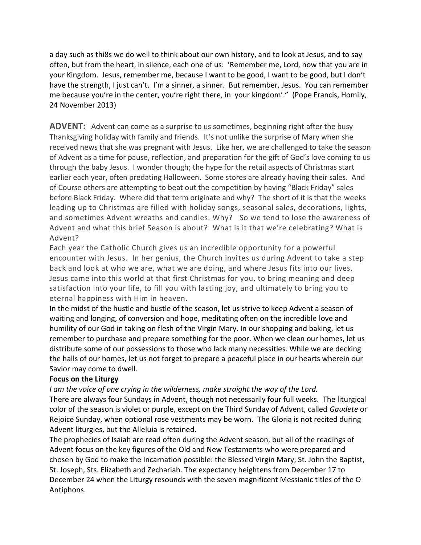a day such as thi8s we do well to think about our own history, and to look at Jesus, and to say often, but from the heart, in silence, each one of us: 'Remember me, Lord, now that you are in your Kingdom. Jesus, remember me, because I want to be good, I want to be good, but I don't have the strength, I just can't. I'm a sinner, a sinner. But remember, Jesus. You can remember me because you're in the center, you're right there, in your kingdom'." (Pope Francis, Homily, 24 November 2013)

**ADVENT:** Advent can come as a surprise to us sometimes, beginning right after the busy Thanksgiving holiday with family and friends. It's not unlike the surprise of Mary when she received news that she was pregnant with Jesus. Like her, we are challenged to take the season of Advent as a time for pause, reflection, and preparation for the gift of God's love coming to us through the baby Jesus. I wonder though; the hype for the retail aspects of Christmas start earlier each year, often predating Halloween. Some stores are already having their sales. And of Course others are attempting to beat out the competition by having "Black Friday" sales before Black Friday. Where did that term originate and why? The short of it is that the weeks leading up to Christmas are filled with holiday songs, seasonal sales, decorations, lights, and sometimes Advent wreaths and candles. Why? So we tend to lose the awareness of Advent and what this brief Season is about? What is it that we're celebrating? What is Advent?

Each year the Catholic Church gives us an incredible opportunity for a powerful encounter with Jesus. In her genius, the Church invites us during Advent to take a step back and look at who we are, what we are doing, and where Jesus fits into our lives. Jesus came into this world at that first Christmas for you, to bring meaning and deep satisfaction into your life, to fill you with lasting joy, and ultimately to bring you to eternal happiness with Him in heaven.

In the midst of the hustle and bustle of the season, let us strive to keep Advent a season of waiting and longing, of conversion and hope, meditating often on the incredible love and humility of our God in taking on flesh of the Virgin Mary. In our shopping and baking, let us remember to purchase and prepare something for the poor. When we clean our homes, let us distribute some of our possessions to those who lack many necessities. While we are decking the halls of our homes, let us not forget to prepare a peaceful place in our hearts wherein our Savior may come to dwell.

#### **Focus on the Liturgy**

*I am the voice of one crying in the wilderness, make straight the way of the Lord.*

There are always four Sundays in Advent, though not necessarily four full weeks. The liturgical color of the season is violet or purple, except on the Third Sunday of Advent, called *Gaudete* or Rejoice Sunday, when optional rose vestments may be worn. The Gloria is not recited during Advent liturgies, but the Alleluia is retained.

The prophecies of Isaiah are read often during the Advent season, but all of the readings of Advent focus on the key figures of the Old and New Testaments who were prepared and chosen by God to make the Incarnation possible: the Blessed Virgin Mary, St. John the Baptist, St. Joseph, Sts. Elizabeth and Zechariah. The expectancy heightens from December 17 to December 24 when the Liturgy resounds with the seven magnificent Messianic titles of the O Antiphons.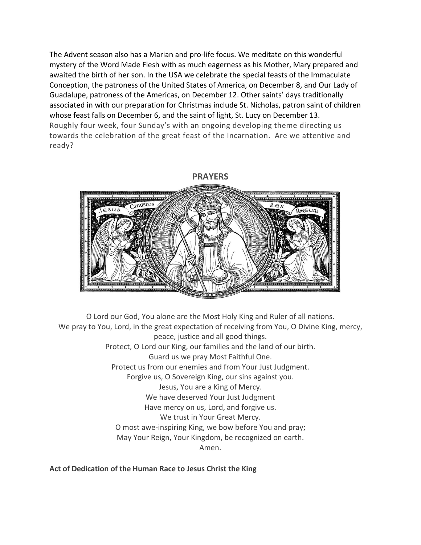The Advent season also has a Marian and pro-life focus. We meditate on this wonderful mystery of the Word Made Flesh with as much eagerness as his Mother, Mary prepared and awaited the birth of her son. In the USA we celebrate the special feasts of the Immaculate Conception, the patroness of the United States of America, on December 8, and Our Lady of Guadalupe, patroness of the Americas, on December 12. Other saints' days traditionally associated in with our preparation for Christmas include St. Nicholas, patron saint of children whose feast falls on December 6, and the saint of light, St. Lucy on December 13. Roughly four week, four Sunday's with an ongoing developing theme directing us towards the celebration of the great feast of the Incarnation. Are we attentive and ready?

# **PRAYERS**



O Lord our God, You alone are the Most Holy King and Ruler of all nations. We pray to You, Lord, in the great expectation of receiving from You, O Divine King, mercy, peace, justice and all good things. Protect, O Lord our King, our families and the land of our birth. Guard us we pray Most Faithful One. Protect us from our enemies and from Your Just Judgment. Forgive us, O Sovereign King, our sins against you. Jesus, You are a King of Mercy. We have deserved Your Just Judgment Have mercy on us, Lord, and forgive us. We trust in Your Great Mercy. O most awe-inspiring King, we bow before You and pray; May Your Reign, Your Kingdom, be recognized on earth. Amen.

**Act of Dedication of the Human Race to Jesus Christ the King**